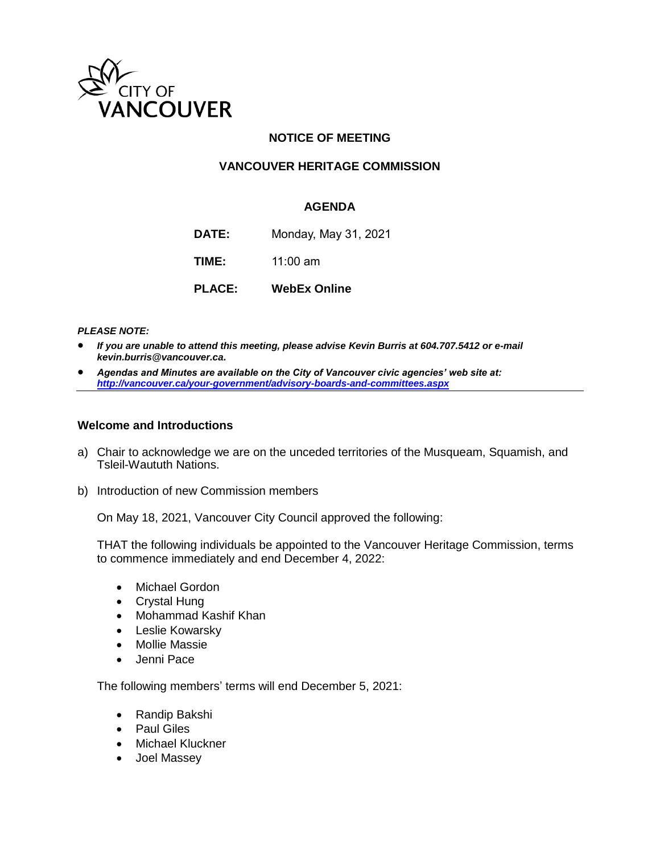

# **NOTICE OF MEETING**

# **VANCOUVER HERITAGE COMMISSION**

# **AGENDA**

**DATE:** Monday, May 31, 2021

**TIME:** 11:00 am

**PLACE: WebEx Online**

*PLEASE NOTE:*

- *If you are unable to attend this meeting, please advise Kevin Burris at 604.707.5412 or e-mail kevin.burris@vancouver.ca.*
- *Agendas and Minutes are available on the City of Vancouver civic agencies' web site at: <http://vancouver.ca/your-government/advisory-boards-and-committees.aspx>*

#### **Welcome and Introductions**

- a) Chair to acknowledge we are on the unceded territories of the Musqueam, Squamish, and Tsleil-Waututh Nations.
- b) Introduction of new Commission members

On May 18, 2021, Vancouver City Council approved the following:

THAT the following individuals be appointed to the Vancouver Heritage Commission, terms to commence immediately and end December 4, 2022:

- Michael Gordon
- Crystal Hung
- Mohammad Kashif Khan
- Leslie Kowarsky
- Mollie Massie
- Jenni Pace

The following members' terms will end December 5, 2021:

- Randip Bakshi
- Paul Giles
- Michael Kluckner
- Joel Massey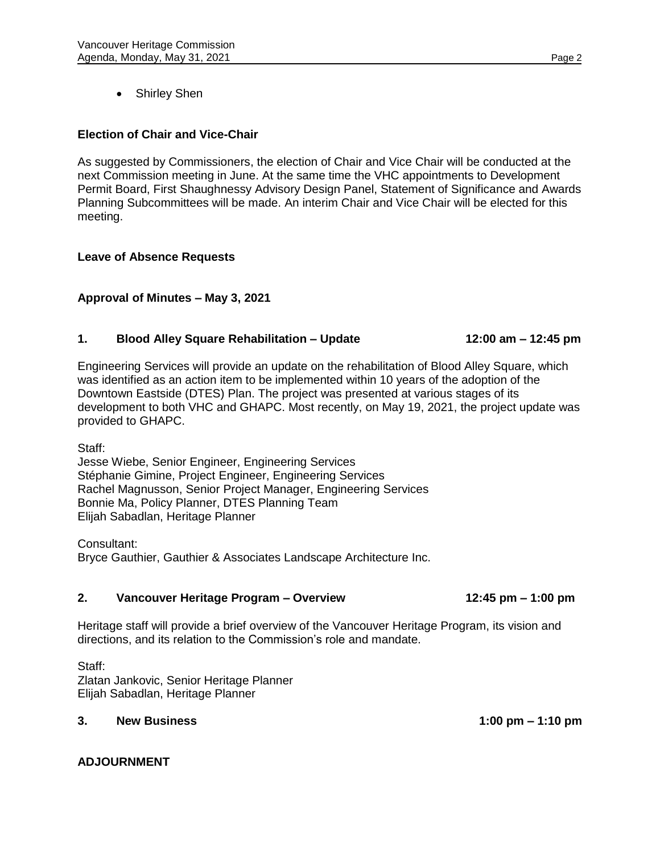• Shirley Shen

# **Election of Chair and Vice-Chair**

As suggested by Commissioners, the election of Chair and Vice Chair will be conducted at the next Commission meeting in June. At the same time the VHC appointments to Development Permit Board, First Shaughnessy Advisory Design Panel, Statement of Significance and Awards Planning Subcommittees will be made. An interim Chair and Vice Chair will be elected for this meeting.

#### **Leave of Absence Requests**

### **Approval of Minutes – May 3, 2021**

#### **1. Blood Alley Square Rehabilitation – Update 12:00 am – 12:45 pm**

Engineering Services will provide an update on the rehabilitation of Blood Alley Square, which was identified as an action item to be implemented within 10 years of the adoption of the Downtown Eastside (DTES) Plan. The project was presented at various stages of its development to both VHC and GHAPC. Most recently, on May 19, 2021, the project update was provided to GHAPC.

Staff:

Jesse Wiebe, Senior Engineer, Engineering Services Stéphanie Gimine, Project Engineer, Engineering Services Rachel Magnusson, Senior Project Manager, Engineering Services Bonnie Ma, Policy Planner, DTES Planning Team Elijah Sabadlan, Heritage Planner

Consultant:

Bryce Gauthier, Gauthier & Associates Landscape Architecture Inc.

#### **2. Vancouver Heritage Program – Overview 12:45 pm – 1:00 pm**

Heritage staff will provide a brief overview of the Vancouver Heritage Program, its vision and directions, and its relation to the Commission's role and mandate.

Staff: Zlatan Jankovic, Senior Heritage Planner Elijah Sabadlan, Heritage Planner

#### **3. New Business 1:00 pm – 1:10 pm**

# **ADJOURNMENT**